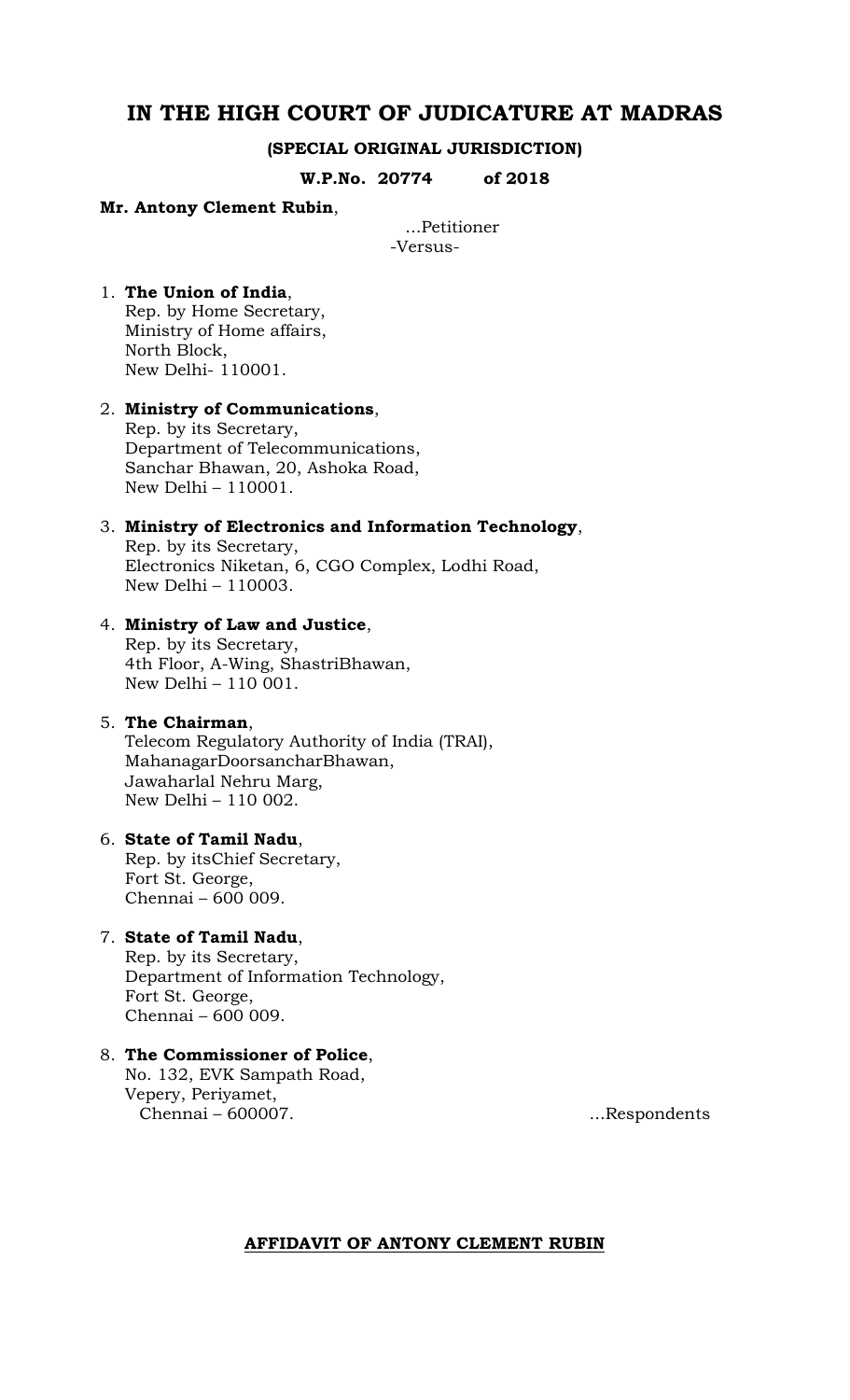## **IN THE HIGH COURT OF JUDICATURE AT MADRAS**

#### **(SPECIAL ORIGINAL JURISDICTION)**

**W.P.No. 20774 of 2018**

#### **Mr. Antony Clement Rubin**,

...Petitioner -Versus-

#### 1. **The Union of India**, Rep. by Home Secretary, Ministry of Home affairs, North Block, New Delhi- 110001.

## 2. **Ministry of Communications**,

Rep. by its Secretary, Department of Telecommunications, Sanchar Bhawan, 20, Ashoka Road, New Delhi – 110001.

#### 3. **Ministry of Electronics and Information Technology**,

Rep. by its Secretary, Electronics Niketan, 6, CGO Complex, Lodhi Road, New Delhi – 110003.

#### 4. **Ministry of Law and Justice**,

Rep. by its Secretary, 4th Floor, A-Wing, ShastriBhawan, New Delhi – 110 001.

#### 5. **The Chairman**,

Telecom Regulatory Authority of India (TRAI), MahanagarDoorsancharBhawan, Jawaharlal Nehru Marg, New Delhi – 110 002.

#### 6. **State of Tamil Nadu**,

Rep. by itsChief Secretary, Fort St. George, Chennai – 600 009.

#### 7. **State of Tamil Nadu**,

Rep. by its Secretary, Department of Information Technology, Fort St. George, Chennai – 600 009.

#### 8. **The Commissioner of Police**, No. 132, EVK Sampath Road, Vepery, Periyamet, Chennai – 600007. ...Respondents

#### **AFFIDAVIT OF ANTONY CLEMENT RUBIN**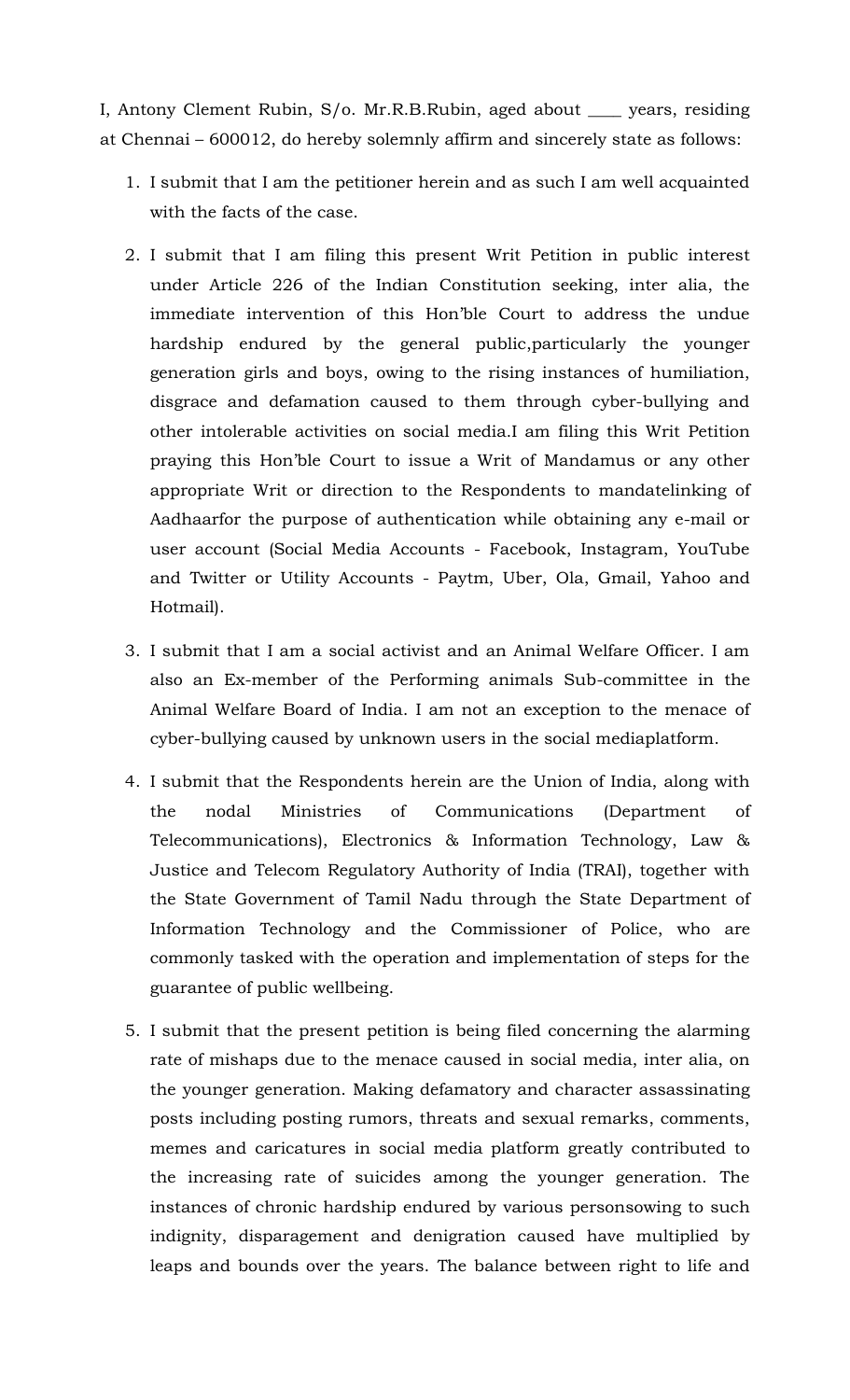I, Antony Clement Rubin, S/o. Mr.R.B.Rubin, aged about \_\_\_\_ years, residing at Chennai – 600012, do hereby solemnly affirm and sincerely state as follows:

- 1. I submit that I am the petitioner herein and as such I am well acquainted with the facts of the case.
- 2. I submit that I am filing this present Writ Petition in public interest under Article 226 of the Indian Constitution seeking, inter alia, the immediate intervention of this Hon'ble Court to address the undue hardship endured by the general public,particularly the younger generation girls and boys, owing to the rising instances of humiliation, disgrace and defamation caused to them through cyber-bullying and other intolerable activities on social media.I am filing this Writ Petition praying this Hon'ble Court to issue a Writ of Mandamus or any other appropriate Writ or direction to the Respondents to mandatelinking of Aadhaarfor the purpose of authentication while obtaining any e-mail or user account (Social Media Accounts - Facebook, Instagram, YouTube and Twitter or Utility Accounts - Paytm, Uber, Ola, Gmail, Yahoo and Hotmail).
- 3. I submit that I am a social activist and an Animal Welfare Officer. I am also an Ex-member of the Performing animals Sub-committee in the Animal Welfare Board of India. I am not an exception to the menace of cyber-bullying caused by unknown users in the social mediaplatform.
- 4. I submit that the Respondents herein are the Union of India, along with the nodal Ministries of Communications (Department of Telecommunications), Electronics & Information Technology, Law & Justice and Telecom Regulatory Authority of India (TRAI), together with the State Government of Tamil Nadu through the State Department of Information Technology and the Commissioner of Police, who are commonly tasked with the operation and implementation of steps for the guarantee of public wellbeing.
- 5. I submit that the present petition is being filed concerning the alarming rate of mishaps due to the menace caused in social media, inter alia, on the younger generation. Making defamatory and character assassinating posts including posting rumors, threats and sexual remarks, comments, memes and caricatures in social media platform greatly contributed to the increasing rate of suicides among the younger generation. The instances of chronic hardship endured by various personsowing to such indignity, disparagement and denigration caused have multiplied by leaps and bounds over the years. The balance between right to life and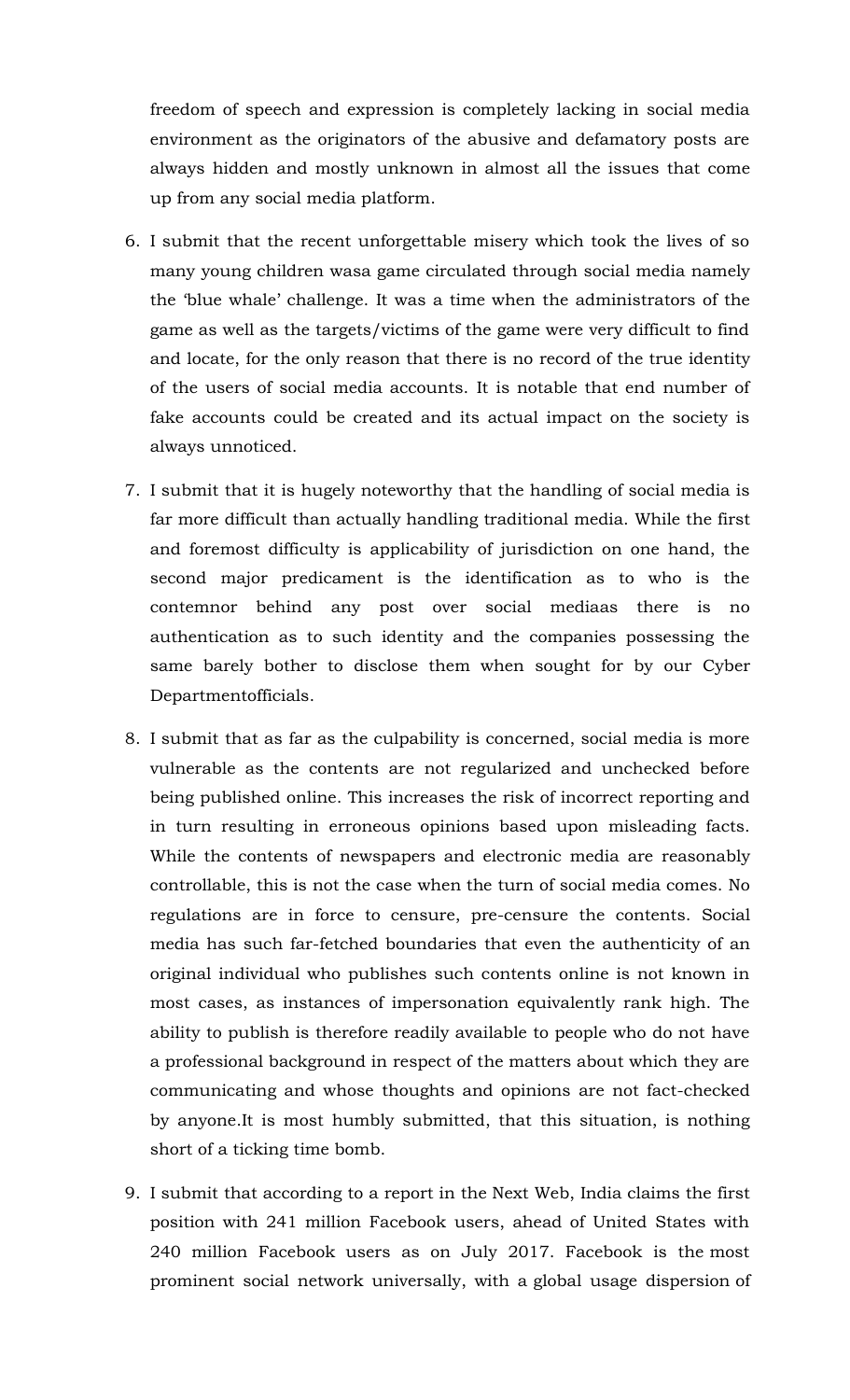freedom of speech and expression is completely lacking in social media environment as the originators of the abusive and defamatory posts are always hidden and mostly unknown in almost all the issues that come up from any social media platform.

- 6. I submit that the recent unforgettable misery which took the lives of so many young children wasa game circulated through social media namely the 'blue whale' challenge. It was a time when the administrators of the game as well as the targets/victims of the game were very difficult to find and locate, for the only reason that there is no record of the true identity of the users of social media accounts. It is notable that end number of fake accounts could be created and its actual impact on the society is always unnoticed.
- 7. I submit that it is hugely noteworthy that the handling of social media is far more difficult than actually handling traditional media. While the first and foremost difficulty is applicability of jurisdiction on one hand, the second major predicament is the identification as to who is the contemnor behind any post over social mediaas there is no authentication as to such identity and the companies possessing the same barely bother to disclose them when sought for by our Cyber Departmentofficials.
- 8. I submit that as far as the culpability is concerned, social media is more vulnerable as the contents are not regularized and unchecked before being published online. This increases the risk of incorrect reporting and in turn resulting in erroneous opinions based upon misleading facts. While the contents of newspapers and electronic media are reasonably controllable, this is not the case when the turn of social media comes. No regulations are in force to censure, pre-censure the contents. Social media has such far-fetched boundaries that even the authenticity of an original individual who publishes such contents online is not known in most cases, as instances of impersonation equivalently rank high. The ability to publish is therefore readily available to people who do not have a professional background in respect of the matters about which they are communicating and whose thoughts and opinions are not fact-checked by anyone.It is most humbly submitted, that this situation, is nothing short of a ticking time bomb.
- 9. I submit that according to a report in the Next Web, India claims the first position with 241 million Facebook users, ahead of United States with 240 million Facebook users as on July 2017. Facebook is the most prominent social network universally, with a global usage dispersion of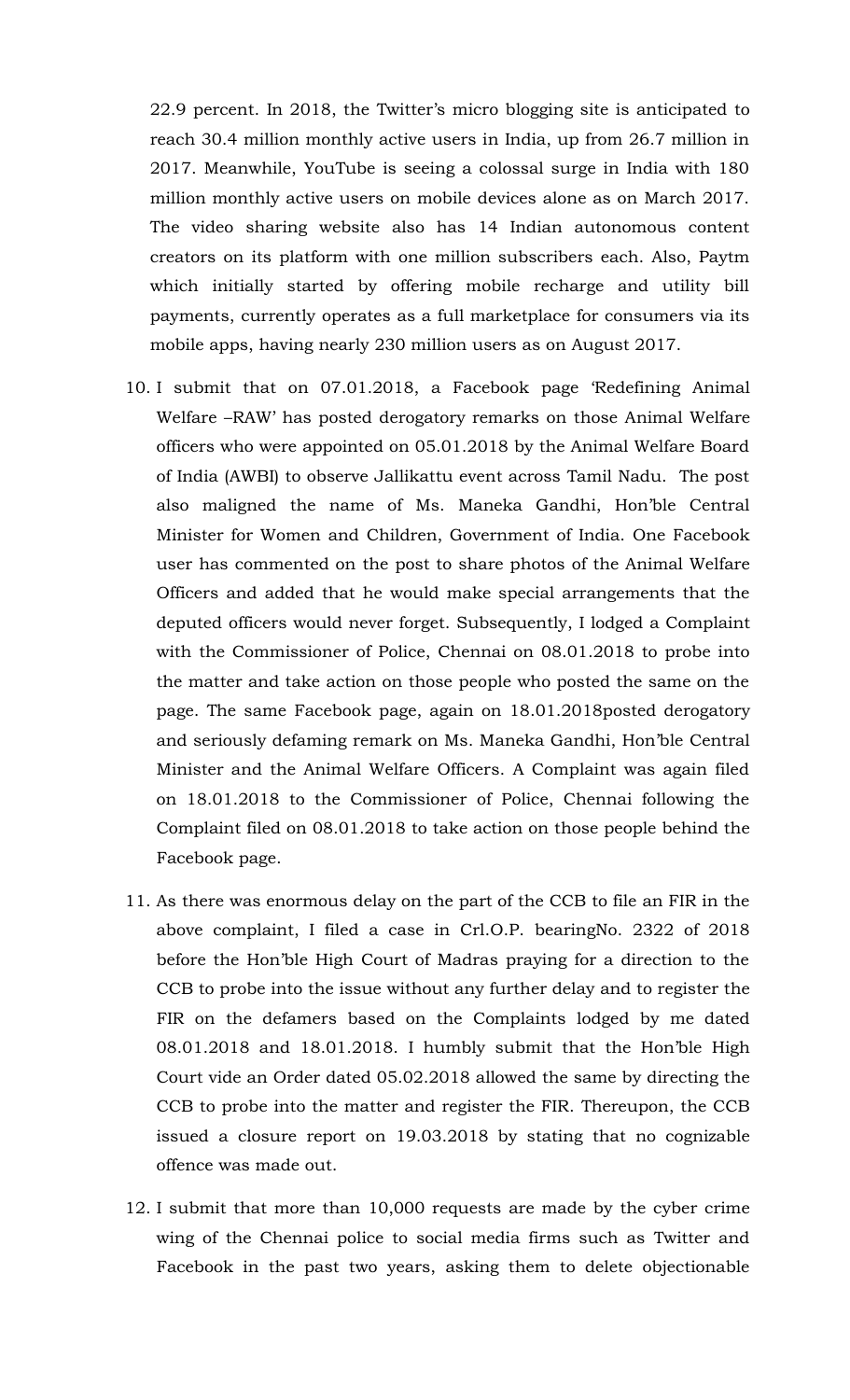22.9 percent. In 2018, the Twitter's micro blogging site is anticipated to reach 30.4 million monthly active users in India, up from 26.7 million in 2017. Meanwhile, YouTube is seeing a colossal surge in India with 180 million monthly active users on mobile devices alone as on March 2017. The video sharing website also has 14 Indian autonomous content creators on its platform with one million subscribers each. Also, Paytm which initially started by offering mobile recharge and utility bill payments, currently operates as a full marketplace for consumers via its mobile apps, having nearly 230 million users as on August 2017.

- 10. I submit that on 07.01.2018, a Facebook page 'Redefining Animal Welfare –RAW' has posted derogatory remarks on those Animal Welfare officers who were appointed on 05.01.2018 by the Animal Welfare Board of India (AWBI) to observe Jallikattu event across Tamil Nadu. The post also maligned the name of Ms. Maneka Gandhi, Hon'ble Central Minister for Women and Children, Government of India. One Facebook user has commented on the post to share photos of the Animal Welfare Officers and added that he would make special arrangements that the deputed officers would never forget. Subsequently, I lodged a Complaint with the Commissioner of Police, Chennai on 08.01.2018 to probe into the matter and take action on those people who posted the same on the page. The same Facebook page, again on 18.01.2018posted derogatory and seriously defaming remark on Ms. Maneka Gandhi, Hon'ble Central Minister and the Animal Welfare Officers. A Complaint was again filed on 18.01.2018 to the Commissioner of Police, Chennai following the Complaint filed on 08.01.2018 to take action on those people behind the Facebook page.
- 11. As there was enormous delay on the part of the CCB to file an FIR in the above complaint, I filed a case in Crl.O.P. bearingNo. 2322 of 2018 before the Hon'ble High Court of Madras praying for a direction to the CCB to probe into the issue without any further delay and to register the FIR on the defamers based on the Complaints lodged by me dated 08.01.2018 and 18.01.2018. I humbly submit that the Hon'ble High Court vide an Order dated 05.02.2018 allowed the same by directing the CCB to probe into the matter and register the FIR. Thereupon, the CCB issued a closure report on 19.03.2018 by stating that no cognizable offence was made out.
- 12. I submit that more than 10,000 requests are made by the cyber crime wing of the Chennai police to social media firms such as Twitter and Facebook in the past two years, asking them to delete objectionable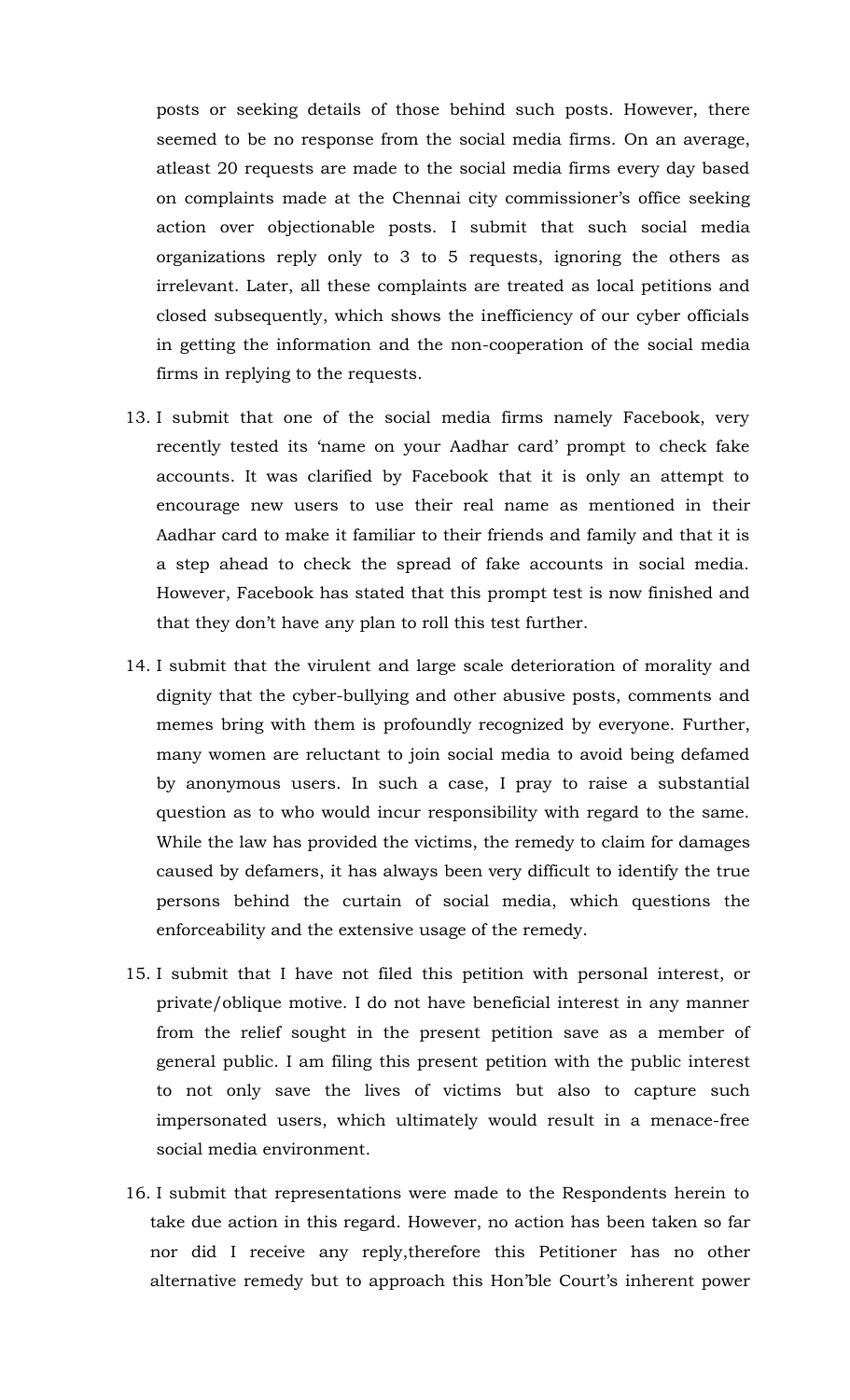posts or seeking details of those behind such posts. However, there seemed to be no response from the social media firms. On an average, atleast 20 requests are made to the social media firms every day based on complaints made at the Chennai city commissioner's office seeking action over objectionable posts. I submit that such social media organizations reply only to 3 to 5 requests, ignoring the others as irrelevant. Later, all these complaints are treated as local petitions and closed subsequently, which shows the inefficiency of our cyber officials in getting the information and the non-cooperation of the social media firms in replying to the requests.

- 13. I submit that one of the social media firms namely Facebook, very recently tested its 'name on your Aadhar card' prompt to check fake accounts. It was clarified by Facebook that it is only an attempt to encourage new users to use their real name as mentioned in their Aadhar card to make it familiar to their friends and family and that it is a step ahead to check the spread of fake accounts in social media. However, Facebook has stated that this prompt test is now finished and that they don't have any plan to roll this test further.
- 14. I submit that the virulent and large scale deterioration of morality and dignity that the cyber-bullying and other abusive posts, comments and memes bring with them is profoundly recognized by everyone. Further, many women are reluctant to join social media to avoid being defamed by anonymous users. In such a case, I pray to raise a substantial question as to who would incur responsibility with regard to the same. While the law has provided the victims, the remedy to claim for damages caused by defamers, it has always been very difficult to identify the true persons behind the curtain of social media, which questions the enforceability and the extensive usage of the remedy.
- 15. I submit that I have not filed this petition with personal interest, or private/oblique motive. I do not have beneficial interest in any manner from the relief sought in the present petition save as a member of general public. I am filing this present petition with the public interest to not only save the lives of victims but also to capture such impersonated users, which ultimately would result in a menace-free social media environment.
- 16. I submit that representations were made to the Respondents herein to take due action in this regard. However, no action has been taken so far nor did I receive any reply,therefore this Petitioner has no other alternative remedy but to approach this Hon'ble Court's inherent power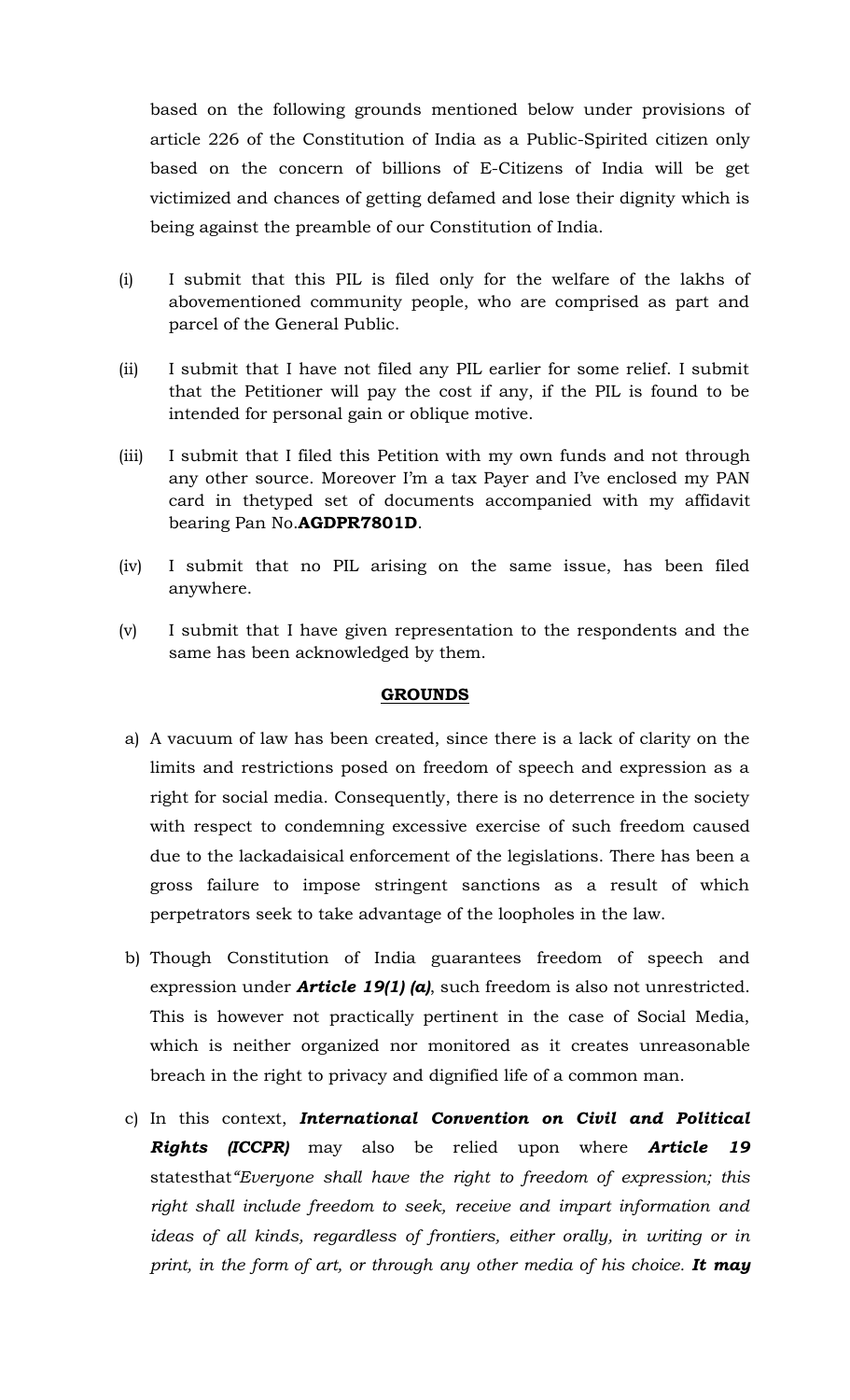based on the following grounds mentioned below under provisions of article 226 of the Constitution of India as a Public-Spirited citizen only based on the concern of billions of E-Citizens of India will be get victimized and chances of getting defamed and lose their dignity which is being against the preamble of our Constitution of India.

- (i) I submit that this PIL is filed only for the welfare of the lakhs of abovementioned community people, who are comprised as part and parcel of the General Public.
- (ii) I submit that I have not filed any PIL earlier for some relief. I submit that the Petitioner will pay the cost if any, if the PIL is found to be intended for personal gain or oblique motive.
- (iii) I submit that I filed this Petition with my own funds and not through any other source. Moreover I'm a tax Payer and I've enclosed my PAN card in thetyped set of documents accompanied with my affidavit bearing Pan No.**AGDPR7801D**.
- (iv) I submit that no PIL arising on the same issue, has been filed anywhere.
- (v) I submit that I have given representation to the respondents and the same has been acknowledged by them.

#### **GROUNDS**

- a) A vacuum of law has been created, since there is a lack of clarity on the limits and restrictions posed on freedom of speech and expression as a right for social media. Consequently, there is no deterrence in the society with respect to condemning excessive exercise of such freedom caused due to the lackadaisical enforcement of the legislations. There has been a gross failure to impose stringent sanctions as a result of which perpetrators seek to take advantage of the loopholes in the law.
- b) Though Constitution of India guarantees freedom of speech and expression under *Article 19(1) (a)*, such freedom is also not unrestricted. This is however not practically pertinent in the case of Social Media, which is neither organized nor monitored as it creates unreasonable breach in the right to privacy and dignified life of a common man.
- c) In this context, *International Convention on Civil and Political Rights (ICCPR)* may also be relied upon where *Article 19*  statesthat*"Everyone shall have the right to freedom of expression; this right shall include freedom to seek, receive and impart information and ideas of all kinds, regardless of frontiers, either orally, in writing or in print, in the form of art, or through any other media of his choice. It may*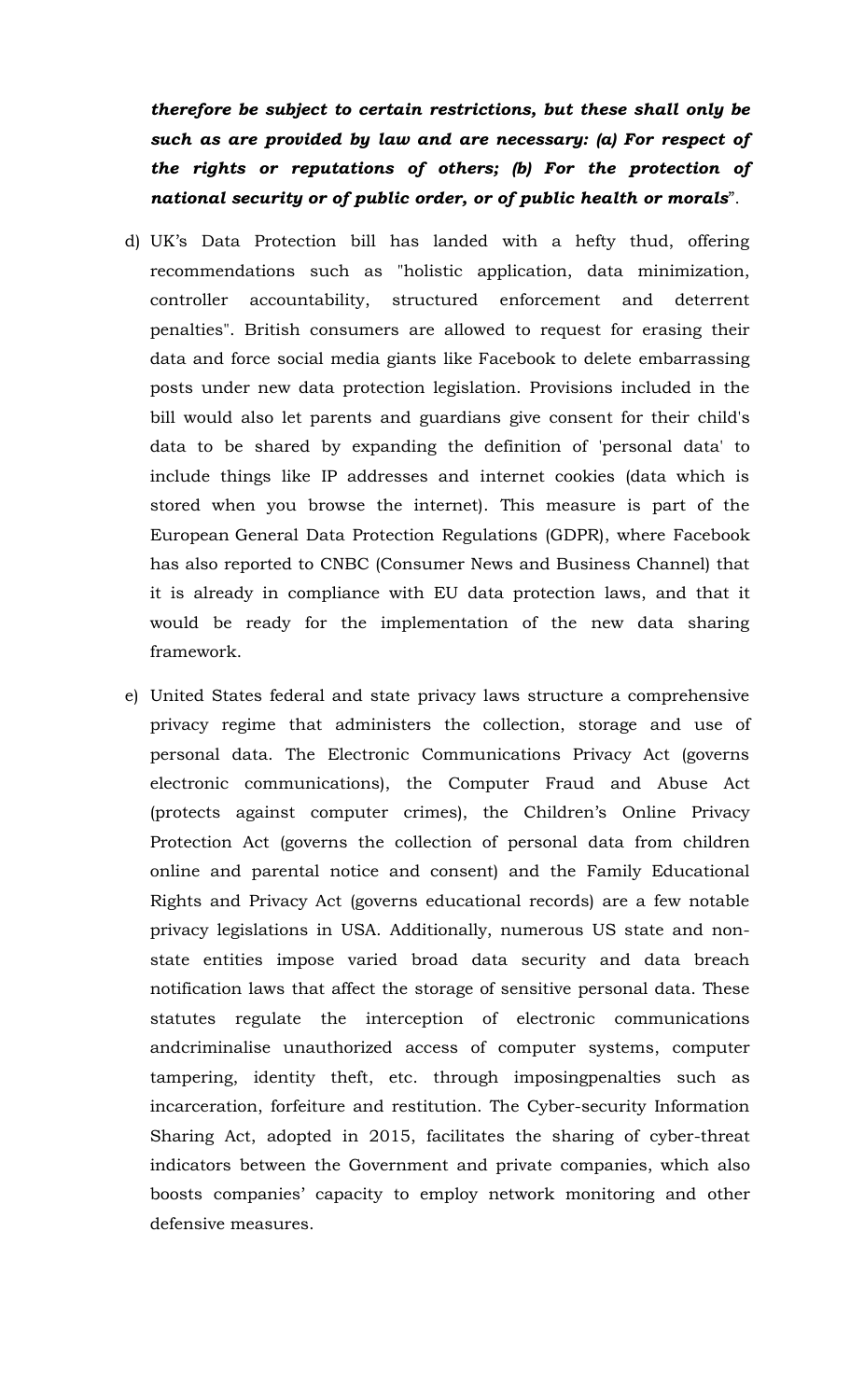*therefore be subject to certain restrictions, but these shall only be such as are provided by law and are necessary: (a) For respect of the rights or reputations of others; (b) For the protection of national security or of public order, or of public health or morals*".

- d) UK's Data Protection bill has landed with a hefty thud, offering recommendations such as "holistic application, data minimization, controller accountability, structured enforcement and deterrent penalties". British consumers are allowed to request for erasing their data and force social media giants like [Facebook](https://www.cnbc.com/quotes/?symbol=FB) to delete embarrassing posts under new data protection legislation. Provisions included in the bill would also let parents and guardians give consent for their child's data to be shared by expanding the definition of 'personal data' to include things like IP addresses and internet cookies (data which is stored when you browse the internet). This measure is part of the European [General Data Protection Regulations \(GDPR\),](http://www.telegraph.co.uk/business/2017/05/29/british-businesses-risking-huge-fines-ignoring-new-data-rules/) where Facebook has also reported to CNBC (Consumer News and Business Channel) that it is already in compliance with EU data protection laws, and that it would be ready for the implementation of the new data sharing framework.
- e) United States federal and state privacy laws structure a comprehensive privacy regime that administers the collection, storage and use of personal data. The Electronic Communications Privacy Act (governs electronic communications), the Computer Fraud and Abuse Act (protects against computer crimes), the Children's Online Privacy Protection Act (governs the collection of personal data from children online and parental notice and consent) and the Family Educational Rights and Privacy Act (governs educational records) are a few notable privacy legislations in USA. Additionally, numerous US state and nonstate entities impose varied broad data security and data breach notification laws that affect the storage of sensitive personal data. These statutes regulate the interception of electronic communications andcriminalise unauthorized access of computer systems, computer tampering, identity theft, etc. through imposingpenalties such as incarceration, forfeiture and restitution. The Cyber-security Information Sharing Act, adopted in 2015, facilitates the sharing of cyber-threat indicators between the Government and private companies, which also boosts companies' capacity to employ network monitoring and other defensive measures.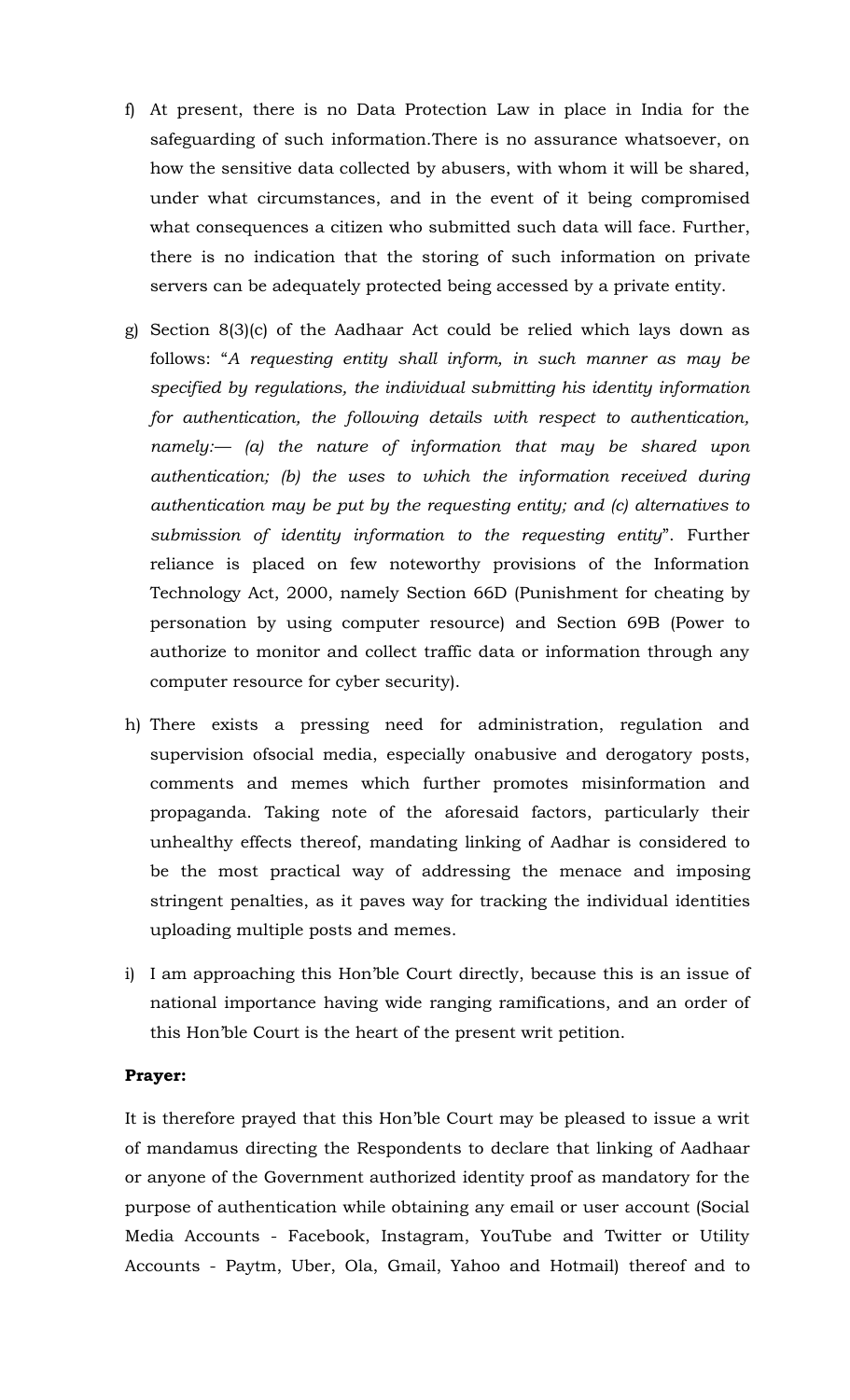- f) At present, there is no Data Protection Law in place in India for the safeguarding of such information.There is no assurance whatsoever, on how the sensitive data collected by abusers, with whom it will be shared, under what circumstances, and in the event of it being compromised what consequences a citizen who submitted such data will face. Further, there is no indication that the storing of such information on private servers can be adequately protected being accessed by a private entity.
- g) Section 8(3)(c) of the Aadhaar Act could be relied which lays down as follows: "*A requesting entity shall inform, in such manner as may be specified by regulations, the individual submitting his identity information for authentication, the following details with respect to authentication, namely:— (a) the nature of information that may be shared upon authentication; (b) the uses to which the information received during authentication may be put by the requesting entity; and (c) alternatives to submission of identity information to the requesting entity*". Further reliance is placed on few noteworthy provisions of the Information Technology Act, 2000, namely Section 66D (Punishment for cheating by personation by using computer resource) and Section 69B (Power to authorize to monitor and collect traffic data or information through any computer resource for cyber security).
- h) There exists a pressing need for administration, regulation and supervision ofsocial media, especially onabusive and derogatory posts, comments and memes which further promotes misinformation and propaganda. Taking note of the aforesaid factors, particularly their unhealthy effects thereof, mandating linking of Aadhar is considered to be the most practical way of addressing the menace and imposing stringent penalties, as it paves way for tracking the individual identities uploading multiple posts and memes.
- i) I am approaching this Hon'ble Court directly, because this is an issue of national importance having wide ranging ramifications, and an order of this Hon'ble Court is the heart of the present writ petition.

#### **Prayer:**

It is therefore prayed that this Hon'ble Court may be pleased to issue a writ of mandamus directing the Respondents to declare that linking of Aadhaar or anyone of the Government authorized identity proof as mandatory for the purpose of authentication while obtaining any email or user account (Social Media Accounts - Facebook, Instagram, YouTube and Twitter or Utility Accounts - Paytm, Uber, Ola, Gmail, Yahoo and Hotmail) thereof and to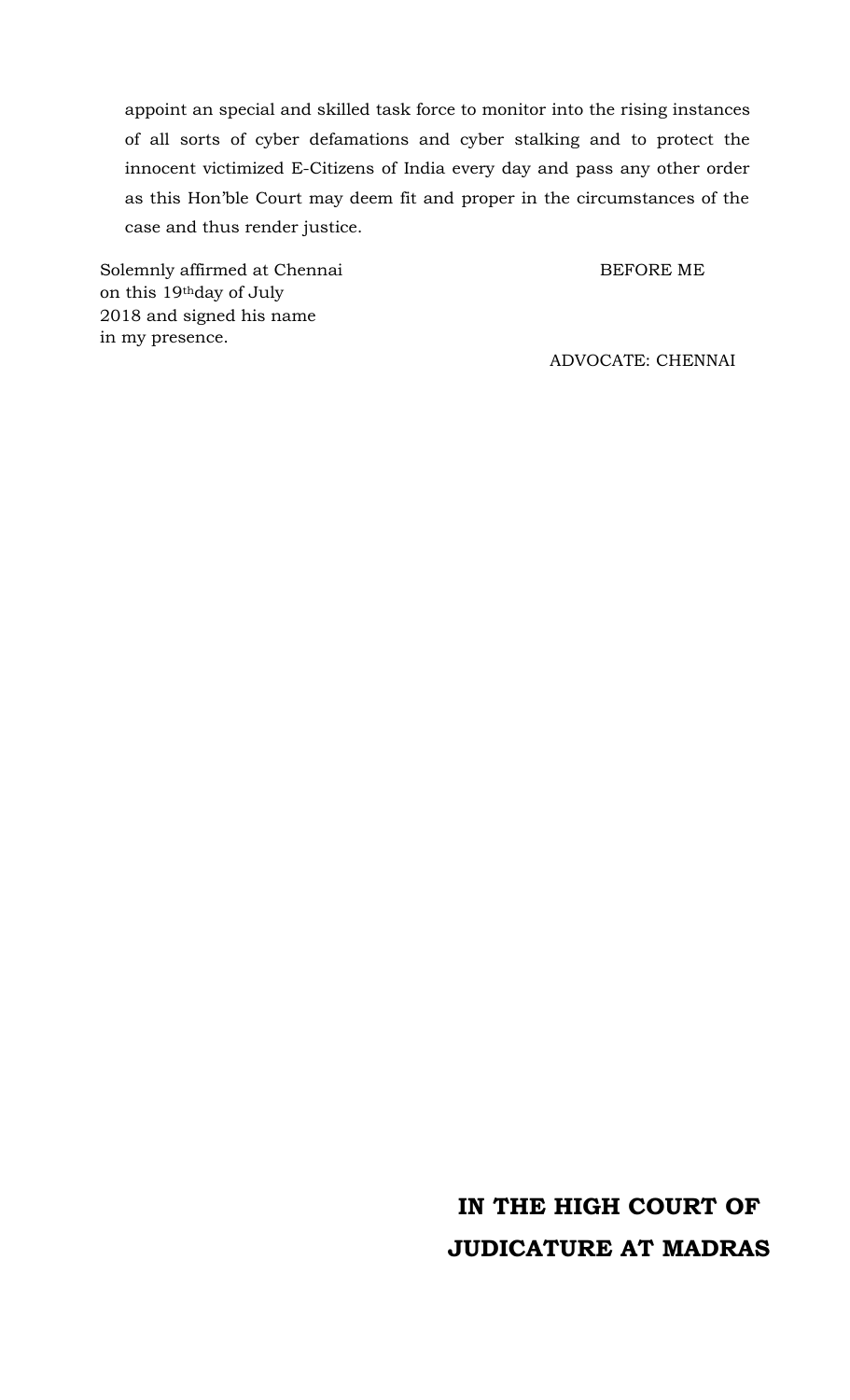appoint an special and skilled task force to monitor into the rising instances of all sorts of cyber defamations and cyber stalking and to protect the innocent victimized E-Citizens of India every day and pass any other order as this Hon'ble Court may deem fit and proper in the circumstances of the case and thus render justice.

Solemnly affirmed at Chennai BEFORE ME on this 19thday of July 2018 and signed his name in my presence.

ADVOCATE: CHENNAI

# **IN THE HIGH COURT OF JUDICATURE AT MADRAS**